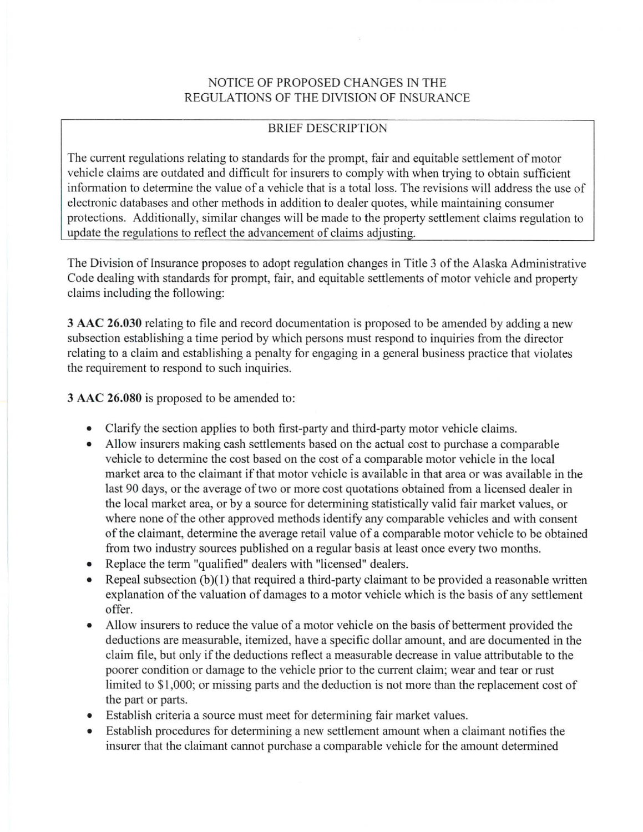# NOTICE OF PROPOSED CHANGES IN THE REGULATIONS OF THE DIVISION OF INSURANCE

# BRIEF DESCRIPTION

The current regulations relating to standards for the prompt, fair and equitable settlement of motor vehicle claims are outdated and difficult for insurers to comply with when trying to obtain sufficient information to determine the value of a vehicle that is a total loss. The revisions will address the use of electronic databases and other methods in addition to dealer quotes, while maintaining consumer protections. Additionally, similar changes will be made to the property settlement claims regulation to update the regulations to reflect the advancement of claims adjusting.

The Division of Insurance proposes to adopt regulation changes in Title 3 of the Alaska Administrative Code dealing with standards for prompt, fair, and equitable settlements of motor vehicle and property claims including the following:

**3 AAC 26.030** relating to file and record documentation is proposed to be amended by adding a new subsection establishing a time period by which persons must respond to inquiries from the director relating to a claim and establishing a penalty for engaging in a general business practice that violates the requirement to respond to such inquiries.

3 AAC 26.080 is proposed to be amended to:

- Clarify the section applies to both first-party and third-party motor vehicle claims.
- Allow insurers making cash settlements based on the actual cost to purchase a comparable vehicle to determine the cost based on the cost of a comparable motor vehicle in the local market area to the claimant if that motor vehicle is available in that area or was available in the last 90 days, or the average of two or more cost quotations obtained from a licensed dealer in the local market area, or by a source for determining statistically valid fair market values, or where none of the other approved methods identify any comparable vehicles and with consent of the claimant, determine the average retail value of a comparable motor vehicle to be obtained from two industry sources published on a regular basis at least once every two months.
- Replace the term "qualified" dealers with "licensed" dealers.
- Repeal subsection (b)(1) that required a third-party claimant to be provided a reasonable written explanation of the valuation of damages to a motor vehicle which is the basis of any settlement offer.
- Allow insurers to reduce the value of a motor vehicle on the basis of betterment provided the deductions are measurable, itemized, have a specific dollar amount, and are documented in the claim file, but only if the deductions reflect a measurable decrease in value attributable to the poorer condition or damage to the vehicle prior to the current claim; wear and tear or rust limited to \$1,000; or missing parts and the deduction is not more than the replacement cost of the part or parts.
- Establish criteria a source must meet for determining fair market values.
- Establish procedures for determining a new settlement amount when a claimant notifies the insurer that the claimant cannot purchase a comparable vehicle for the amount determined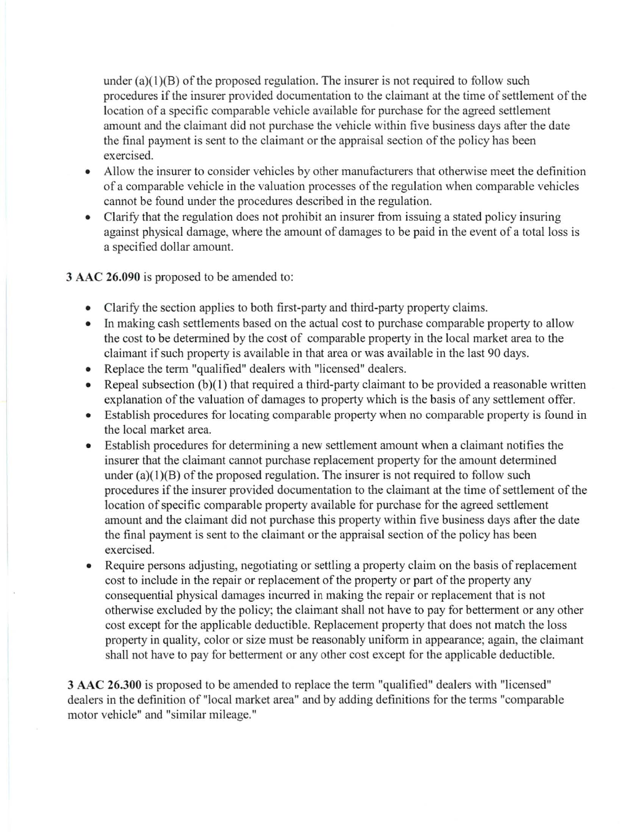under  $(a)(1)(B)$  of the proposed regulation. The insurer is not required to follow such procedures if the insurer provided documentation to the claimant at the time of settlement of the location of a specific comparable vehicle available for purchase for the agreed settlement amount and the claimant did not purchase the vehicle within five business days after the date the final payment is sent to the claimant or the appraisal section of the policy has been exercised.

- Allow the insurer to consider vehicles by other manufacturers that otherwise meet the definition of a comparable vehicle in the valuation processes of the regulation when comparable vehicles cannot be found under the procedures described in the regulation.
- Clarify that the regulation does not prohibit an insurer from issuing a stated policy insuring against physical damage, where the amount of damages to be paid in the event of a total loss is a specified dollar amount.

3 AAC **26.090** is proposed to be amended to:

- Clarify the section applies to both first-party and third-party property claims.
- In making cash settlements based on the actual cost to purchase comparable property to allow the cost to be determined by the cost of comparable property in the local market area to the claimant if such property is available in that area or was available in the last 90 days.
- Replace the term "qualified" dealers with "licensed" dealers.
- Repeal subsection  $(b)(1)$  that required a third-party claimant to be provided a reasonable written explanation of the valuation of damages to property which is the basis of any settlement offer.
- Establish procedures for locating comparable property when no comparable property is found in the local market area.
- Establish procedures for determining a new settlement amount when a claimant notifies the insurer that the claimant cannot purchase replacement property for the amount determined under  $(a)(1)(B)$  of the proposed regulation. The insurer is not required to follow such procedures if the insurer provided documentation to the claimant at the time of settlement of the location of specific comparable property available for purchase for the agreed settlement amount and the claimant did not purchase this property within five business days after the date the final payment is sent to the claimant or the appraisal section of the policy has been exercised.
- Require persons adjusting, negotiating or settling a property claim on the basis of replacement cost to include in the repair or replacement of the property or part of the property any consequential physical damages incurred in making the repair or replacement that is not otherwise excluded by the policy; the claimant shall not have to pay for betterment or any other cost except for the applicable deductible. Replacement property that does not match the loss property in quality, color or size must be reasonably uniform in appearance; again, the claimant shall not have to pay for betterment or any other cost except for the applicable deductible.

**3 AAC 26.300** is proposed to be amended to replace the term "qualified" dealers with "licensed" dealers in the definition of "local market area" and by adding definitions for the terms "comparable motor vehicle" and "similar mileage."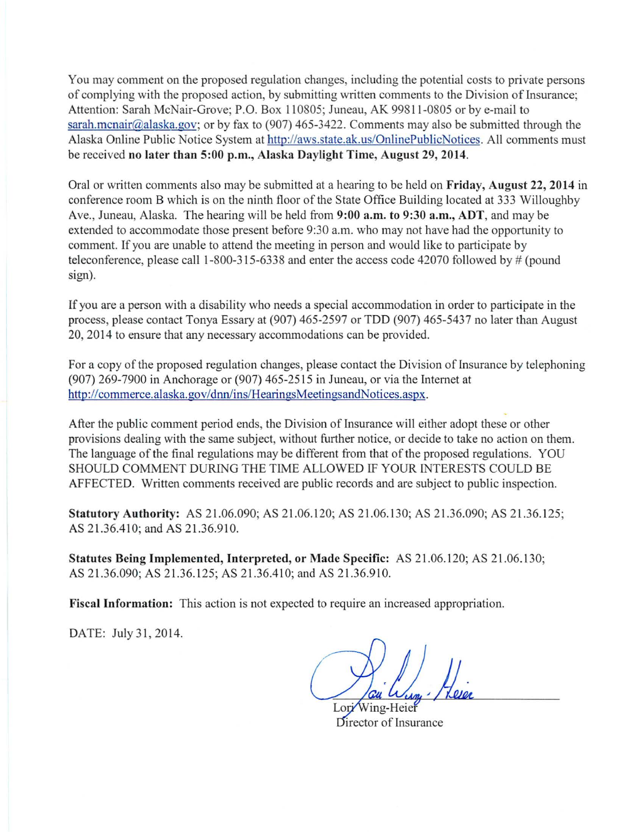You may comment on the proposed regulation changes, including the potential costs to private persons of complying with the proposed action, by submitting written comments to the Division of Insurance; Attention: Sarah McNair-Grove; P.O. Box 110805; Juneau, AK 99811-0805 or by e-mail to sarah.mcnair@alaska.gov; or by fax to (907) 465-3422. Comments may also be submitted through the Alaska Online Public Notice System at http://aws.state.ak.us/OnlinePublicNotices. All comments must be received no later than 5:00 p.m., Alaska Daylight Time, August 29, 2014.

Oral or written comments also may be submitted at a hearing to be held on Friday, August 22, 2014 in conference room B which is on the ninth floor of the State Office Building located at 333 Willoughby Ave., Juneau, Alaska. The hearing will be held from 9:00 a.m. to 9:30 a.m., ADT, and may be extended to accommodate those present before 9:30 a.m. who may not have had the opportunity to comment. If you are unable to attend the meeting in person and would like to participate by teleconference, please call 1-800-3 15-6338 and enter the access code 42070 followed by # (pound sign).

If you are a person with a disability who needs a special accommodation in order to participate in the process, please contact Tonya Essary at (907) 465-2597 or TDD (907) 465-5437 no later than August 20, 2014 to ensure that any necessary accommodations can be provided.

For a copy of the proposed regulation changes, please contact the Division of Insurance by telephoning (907) 269-7900 in Anchorage or (907) 465-2515 in Juneau, or via the Internet at http://commerce.alaska.gov/dnn/ins/HearingsMeetingsandNotices.aspx.

After the public comment period ends, the Division of Insurance will either adopt these or other provisions dealing with the same subject, without further notice, or decide to take no action on them. The language of the final regulations may be different from that of the proposed regulations. YOU SHOULD COMMENT DURING THE TIME ALLOWED IF YOUR INTERESTS COULD BE AFFECTED. Written comments received are public records and are subject to public inspection.

Statutory Authority: AS 21.06.090; AS 21.06.120; AS 21.06.130; AS 21.36.090; AS 21.36.125; AS 21.36.410; and AS 21.36.910.

Statutes Being Implemented, Interpreted, or Made Specific: AS 21.06. 120; AS 21.06.130; AS 21.36.090; AS 21.36.125; AS 21.36.410; and AS 21.36.910.

Fiscal Information: This action is not expected to require an increased appropriation.

DATE: July 31, 2014.

Lori Wing-Heier Director of Insurance